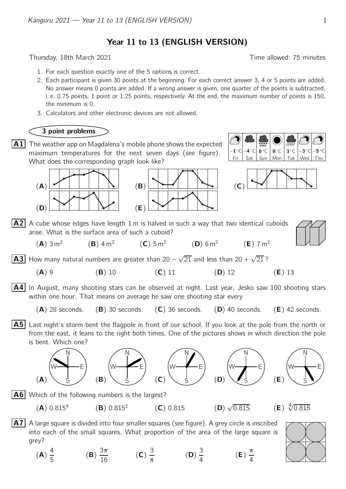Year 11 to 13 (ENGLISH VERSION)

Thursday, 18th March 2021 **Thursday**, 18th March 2021

- 1. For each question exactly one of the 5 options is correct.
- 2. Each participant is given 30 points at the beginning. For each correct answer 3, 4 or 5 points are added. No answer means 0 points are added. If a wrong answer is given, one quarter of the points is subtracted, i. e. 0.75 points, 1 point or 1.25 points, respectively. At the end, the maximum number of points is 150, the minimum is 0.
- 3. Calculators and other electronic devices are not allowed.

## 3 point problems

 $\overline{\mathbf{A1}}$  The weather app on Magdalena's mobile phone shows the expected maximum temperatures for the next seven days (see figure). What does the corresponding graph look like?



Fri  $\vert$  Sat  $\vert$  Sun  $\vert$  Mon  $\vert$  Tue  $\vert$  Wed  $-1\degree$ C $\Big|-4$  $\circ$ c $\mid$  0 $\circ$ c $\mid$  0  $0^{\circ}$ C ◦<sup>C</sup> <sup>−</sup><sup>3</sup>  $^\circ$ C $\bm{\mathord{--}}$ 5  $\circ$  C



 $7 \text{ m}^2$ 

 $\mathsf{A2}$  A cube whose edges have length 1 m is halved in such a way that two identical cuboids arise. What is the surface area of such a cuboid?

| 3 m <sup>2</sup> | $(B)$ 4 m <sup>2</sup> | (C) 5 m <sup>2</sup> | (D) 6 m <sup>2</sup> | (E) |
|------------------|------------------------|----------------------|----------------------|-----|

A3 How many natural numbers are greater than 20 −  $\sqrt{21}$  and less than 20 +  $\sqrt{21}$ ?

- (A) 9 (B) 10 (C) 11 (D) 12 (E) 13
- A4 In August, many shooting stars can be observed at night. Last year, Jesko saw 100 shooting stars within one hour. That means on average he saw one shooting star every

 $(A)$  28 seconds. (B) 30 seconds. (C) 36 seconds. (D) 40 seconds. (E) 42 seconds.

**A5** Last night's storm bent the flagpole in front of our school. If you look at the pole from the north or from the east, it leans to the right both times. One of the pictures shows in which direction the pole is bent. Which one?











 $\vert$ A6 Which of the following numbers is the largest?

 $(B) 0.815^2$ 

 $(A) 0.815<sup>4</sup>$ 

 $(A)$ 

- $(C) 0.815$
- 



A7 A large square is divided into four smaller squares (see figure). A grey circle is inscribed into each of the small squares. What proportion of the area of the large square is grey?

(A) 4 5 (B) 3π  $\frac{3\pi}{16}$  (C) 3  $\frac{\partial}{\partial \pi}$  (D) 3 4 (E) π 4

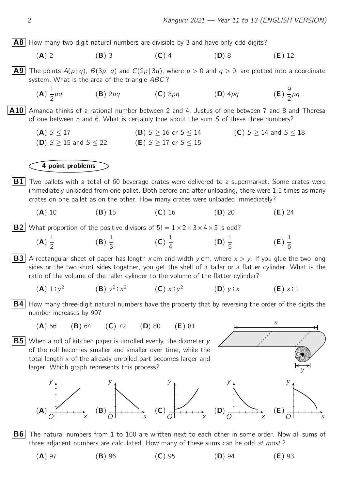$\mathsf{x}$ 

y

y

A8 How many two-digit natural numbers are divisible by 3 and have only odd digits?

- (A) 2 (B) 3 (C) 4 (D) 8 (E) 12
- **A9** The points  $A(p | q)$ ,  $B(3p | q)$  and  $C(2p | 3q)$ , where  $p > 0$  and  $q > 0$ , are plotted into a coordinate system. What is the area of the triangle ABC?
	- (A) 1 2 **(B)** 2*pq*  $(C)$  3*pq*  $(D)$  4*pq* 9 2 pq

A10 Amanda thinks of a rational number between 2 and 4, Justus of one between 7 and 8 and Theresa of one between 5 and 6. What is certainly true about the sum S of these three numbers?

(A)  $S \le 17$ <br>
(B)  $S \ge 16$  or  $S \le 14$ <br>
(C)  $S \ge 14$  and  $S \le 18$ <br>
(D)  $S \ge 15$  and  $S \le 22$ <br>
(E)  $S \ge 17$  or  $S \le 15$ (D)  $S \geq 15$  and  $S \leq 22$ 

## 4 point problems

- $|B1|$  Two pallets with a total of 60 beverage crates were delivered to a supermarket. Some crates were immediately unloaded from one pallet. Both before and after unloading, there were 1.5 times as many crates on one pallet as on the other. How many crates were unloaded immediately?
	- (A) 10 (B) 15 (C) 16 (D) 20 (E) 24

**B2** What proportion of the positive divisors of  $5! = 1 \times 2 \times 3 \times 4 \times 5$  is odd?

(**A**) 
$$
\frac{1}{2}
$$
 \t(**B**)  $\frac{1}{3}$  \t(**C**)  $\frac{1}{4}$  \t(**D**)  $\frac{1}{5}$  \t(**E**)  $\frac{1}{6}$ 

**B3** A rectangular sheet of paper has length x cm and width y cm, where  $x > y$ . If you glue the two long sides or the two short sides together, you get the shell of a taller or a flatter cylinder. What is the ratio of the volume of the taller cylinder to the volume of the flatter cylinder?

(**A**) 1:y<sup>2</sup> (**B**) 
$$
y^2
$$
:x<sup>2</sup> (**C**) x:y<sup>2</sup> (**D**) y:x (**E**) x:1

- $|B4|$  How many three-digit natural numbers have the property that by reversing the order of the digits the number increases by 99?
	- (A) 56 (B) 64 (C) 72 (D) 80 (E) 81

 $\overline{B5}$  When a roll of kitchen paper is unrolled evenly, the diameter y of the roll becomes smaller and smaller over time, while the total length  $x$  of the already unrolled part becomes larger and larger. Which graph represents this process?





three adjacent numbers are calculated. How many of these sums can be odd at most?

 $(A)$  97 (B) 96 (C) 95 (D) 94 (E) 93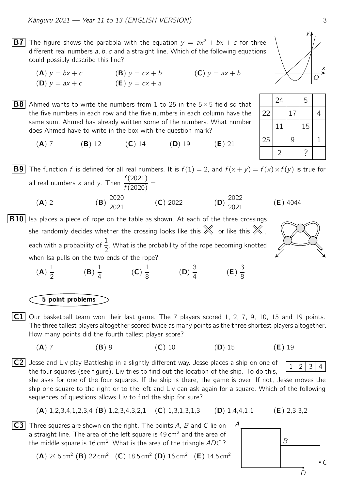**B7** The figure shows the parabola with the equation  $y = ax^2 + bx + c$  for three different real numbers a, b, c and a straight line. Which of the following equations could possibly describe this line?

(A)  $y = bx + c$  (B)  $y = cx + b$  (C)  $y = ax + b$ (**D**)  $y = ax + c$  (**E**)  $y = cx + a$ 

B8 24 5 Ahmed wants to write the numbers from 1 to 25 in the 5×5 field so that the five numbers in each row and the five numbers in each column have the same sum. Ahmed has already written some of the numbers. What number does Ahmed have to write in the box with the question mark?

(A) 7 (B) 12 (C) 14 (D) 19 (E) 21

**B9** The function f is defined for all real numbers. It is  $f(1) = 2$ , and  $f(x + y) = f(x) \times f(y)$  is true for all real numbers x and y. Then  $\frac{f(2021)}{f(2020)}$  $\frac{f(2021)}{f(2020)}$  =  $(A)$  2 2020  $\frac{2020}{2021}$  (**C**) 2022 (**D**) 2022  $\frac{2022}{2021}$  (**E**) 4044

 $\boxed{B10}$  Isa places a piece of rope on the table as shown. At each of the three crossings she randomly decides whether the crossing looks like this  $\mathbb X$  or like this  $\mathbb X$  , each with a probability of  $\frac{1}{2}$ 2 . What is the probability of the rope becoming knotted when Isa pulls on the two ends of the rope?

(A) 1 2 (B) 1 4 (C) 1 8 (D) 3 4 (E) 3 8

5 point problems

 $|C1|$  Our basketball team won their last game. The 7 players scored 1, 2, 7, 9, 10, 15 and 19 points. The three tallest players altogether scored twice as many points as the three shortest players altogether. How many points did the fourth tallest player score?

(A) 7 (B) 9 (C) 10 (D) 15 (E) 19

$$
\overline{\mathbf{a}}
$$

 $\overline{C2}$  Jesse and Liv play Battleship in a slightly different way. Jesse places a ship on one of  $\sqrt{1/2/3/4}$ the four squares (see figure). Liv tries to find out the location of the ship. To do this,

she asks for one of the four squares. If the ship is there, the game is over. If not, Jesse moves the ship one square to the right or to the left and Liv can ask again for a square. Which of the following sequences of questions allows Liv to find the ship for sure?

(A) 1,2,3,4,1,2,3,4 (B) 1,2,3,4,3,2,1 (C) 1,3,1,3,1,3 (D) 1,4,4,1,1 (E) 2,3,3,2

 $\overline{C3}$  Three squares are shown on the right. The points A, B and C lie on A a straight line. The area of the left square is  $49 \text{ cm}^2$  and the area of the middle square is 16 cm<sup>2</sup>. What is the area of the triangle  $ADC$  ?

(A) 24.5 cm<sup>2</sup> (B) 22 cm<sup>2</sup> (C) 18.5 cm<sup>2</sup> (D) 16 cm<sup>2</sup> (E) 14.5 cm<sup>2</sup>

$$
\begin{array}{c|c}\n & B \\
 & C\n\end{array}
$$



|    | 24             |    | 5  |  |
|----|----------------|----|----|--|
| 22 |                | 17 |    |  |
|    | 11             |    | 15 |  |
| 25 |                | 9  |    |  |
|    | $\overline{2}$ |    |    |  |